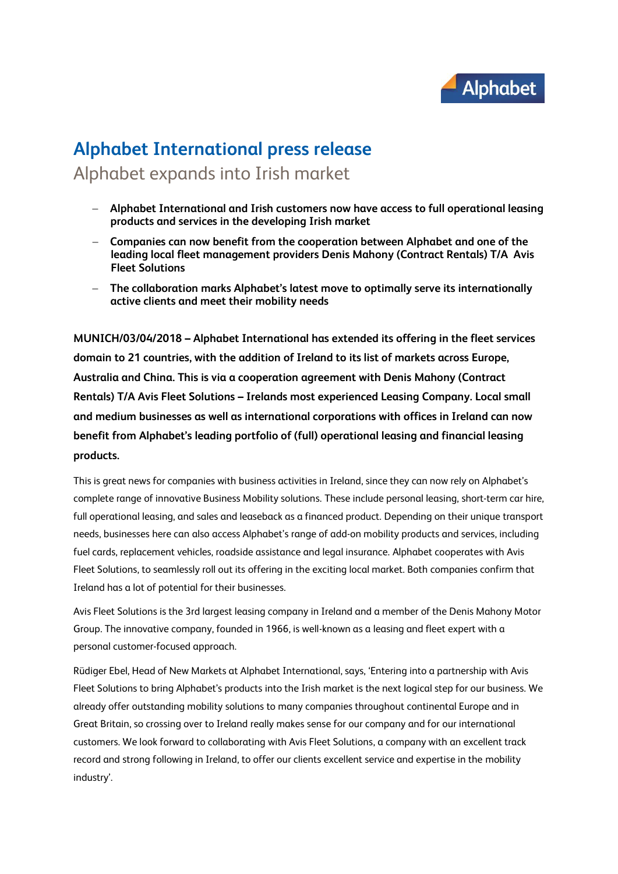

## **Alphabet International press release** Alphabet expands into Irish market

- **Alphabet International and Irish customers now have access to full operational leasing products and services in the developing Irish market**
- **Companies can now benefit from the cooperation between Alphabet and one of the leading local fleet management providers Denis Mahony (Contract Rentals) T/A Avis Fleet Solutions**
- **The collaboration marks Alphabet's latest move to optimally serve its internationally active clients and meet their mobility needs**

**MUNICH/03/04/2018 – Alphabet International has extended its offering in the fleet services domain to 21 countries, with the addition of Ireland to its list of markets across Europe, Australia and China. This is via a cooperation agreement with Denis Mahony (Contract Rentals) T/A Avis Fleet Solutions – Irelands most experienced Leasing Company. Local small and medium businesses as well as international corporations with offices in Ireland can now benefit from Alphabet's leading portfolio of (full) operational leasing and financial leasing products.**

This is great news for companies with business activities in Ireland, since they can now rely on Alphabet's complete range of innovative Business Mobility solutions. These include personal leasing, short-term car hire, full operational leasing, and sales and leaseback as a financed product. Depending on their unique transport needs, businesses here can also access Alphabet's range of add-on mobility products and services, including fuel cards, replacement vehicles, roadside assistance and legal insurance. Alphabet cooperates with Avis Fleet Solutions, to seamlessly roll out its offering in the exciting local market. Both companies confirm that Ireland has a lot of potential for their businesses.

Avis Fleet Solutions is the 3rd largest leasing company in Ireland and a member of the Denis Mahony Motor Group. The innovative company, founded in 1966, is well-known as a leasing and fleet expert with a personal customer-focused approach.

Rüdiger Ebel, Head of New Markets at Alphabet International, says, 'Entering into a partnership with Avis Fleet Solutions to bring Alphabet's products into the Irish market is the next logical step for our business. We already offer outstanding mobility solutions to many companies throughout continental Europe and in Great Britain, so crossing over to Ireland really makes sense for our company and for our international customers. We look forward to collaborating with Avis Fleet Solutions, a company with an excellent track record and strong following in Ireland, to offer our clients excellent service and expertise in the mobility industry'.